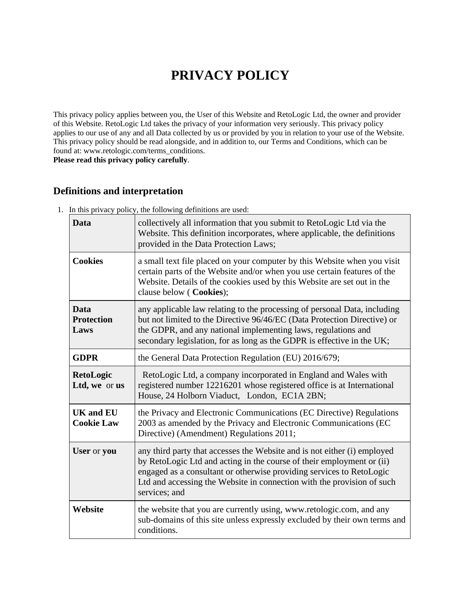# **PRIVACY POLICY**

This privacy policy applies between you, the User of this Website and RetoLogic Ltd, the owner and provider of this Website. RetoLogic Ltd takes the privacy of your information very seriously. This privacy policy applies to our use of any and all Data collected by us or provided by you in relation to your use of the Website. This privacy policy should be read alongside, and in addition to, our Terms and Conditions, which can be found at: www.retologic.com/terms\_conditions.

**Please read this privacy policy carefully**.

# **Definitions and interpretation**

| <b>Data</b>                           | collectively all information that you submit to RetoLogic Ltd via the<br>Website. This definition incorporates, where applicable, the definitions<br>provided in the Data Protection Laws;                                                                                                                           |
|---------------------------------------|----------------------------------------------------------------------------------------------------------------------------------------------------------------------------------------------------------------------------------------------------------------------------------------------------------------------|
| <b>Cookies</b>                        | a small text file placed on your computer by this Website when you visit<br>certain parts of the Website and/or when you use certain features of the<br>Website. Details of the cookies used by this Website are set out in the<br>clause below (Cookies);                                                           |
| Data<br><b>Protection</b><br>Laws     | any applicable law relating to the processing of personal Data, including<br>but not limited to the Directive 96/46/EC (Data Protection Directive) or<br>the GDPR, and any national implementing laws, regulations and<br>secondary legislation, for as long as the GDPR is effective in the UK;                     |
| <b>GDPR</b>                           | the General Data Protection Regulation (EU) 2016/679;                                                                                                                                                                                                                                                                |
| <b>RetoLogic</b><br>Ltd, we or us     | RetoLogic Ltd, a company incorporated in England and Wales with<br>registered number 12216201 whose registered office is at International<br>House, 24 Holborn Viaduct, London, EC1A 2BN;                                                                                                                            |
| <b>UK and EU</b><br><b>Cookie Law</b> | the Privacy and Electronic Communications (EC Directive) Regulations<br>2003 as amended by the Privacy and Electronic Communications (EC<br>Directive) (Amendment) Regulations 2011;                                                                                                                                 |
| User or you                           | any third party that accesses the Website and is not either (i) employed<br>by RetoLogic Ltd and acting in the course of their employment or (ii)<br>engaged as a consultant or otherwise providing services to RetoLogic<br>Ltd and accessing the Website in connection with the provision of such<br>services; and |
| Website                               | the website that you are currently using, www.retologic.com, and any<br>sub-domains of this site unless expressly excluded by their own terms and<br>conditions.                                                                                                                                                     |

1. In this privacy policy, the following definitions are used: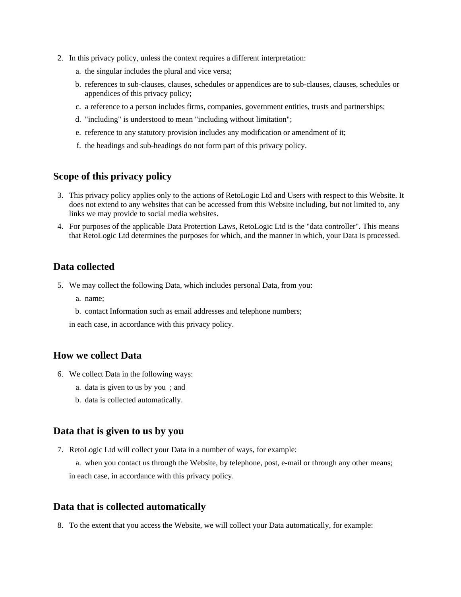- 2. In this privacy policy, unless the context requires a different interpretation:
	- a. the singular includes the plural and vice versa;
	- b. references to sub-clauses, clauses, schedules or appendices are to sub-clauses, clauses, schedules or appendices of this privacy policy;
	- c. a reference to a person includes firms, companies, government entities, trusts and partnerships;
	- d. "including" is understood to mean "including without limitation";
	- e. reference to any statutory provision includes any modification or amendment of it;
	- f. the headings and sub-headings do not form part of this privacy policy.

### **Scope of this privacy policy**

- 3. This privacy policy applies only to the actions of RetoLogic Ltd and Users with respect to this Website. It does not extend to any websites that can be accessed from this Website including, but not limited to, any links we may provide to social media websites.
- 4. For purposes of the applicable Data Protection Laws, RetoLogic Ltd is the "data controller". This means that RetoLogic Ltd determines the purposes for which, and the manner in which, your Data is processed.

## **Data collected**

- 5. We may collect the following Data, which includes personal Data, from you:
	- a. name;
	- b. contact Information such as email addresses and telephone numbers;

in each case, in accordance with this privacy policy.

#### **How we collect Data**

- 6. We collect Data in the following ways:
	- a. data is given to us by you ; and
	- b. data is collected automatically.

### **Data that is given to us by you**

7. RetoLogic Ltd will collect your Data in a number of ways, for example:

a. when you contact us through the Website, by telephone, post, e-mail or through any other means; in each case, in accordance with this privacy policy.

#### **Data that is collected automatically**

8. To the extent that you access the Website, we will collect your Data automatically, for example: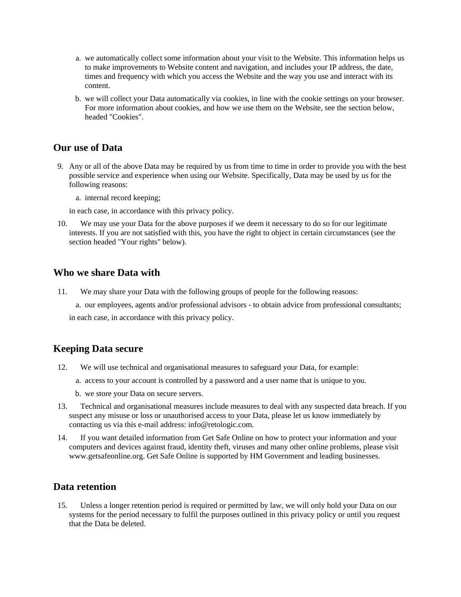- a. we automatically collect some information about your visit to the Website. This information helps us to make improvements to Website content and navigation, and includes your IP address, the date, times and frequency with which you access the Website and the way you use and interact with its content.
- b. we will collect your Data automatically via cookies, in line with the cookie settings on your browser. For more information about cookies, and how we use them on the Website, see the section below, headed "Cookies".

### **Our use of Data**

9. Any or all of the above Data may be required by us from time to time in order to provide you with the best possible service and experience when using our Website. Specifically, Data may be used by us for the following reasons:

a. internal record keeping;

in each case, in accordance with this privacy policy.

10. We may use your Data for the above purposes if we deem it necessary to do so for our legitimate interests. If you are not satisfied with this, you have the right to object in certain circumstances (see the section headed "Your rights" below).

### **Who we share Data with**

- 11. We may share your Data with the following groups of people for the following reasons:
	- a. our employees, agents and/or professional advisors to obtain advice from professional consultants;

in each case, in accordance with this privacy policy.

#### **Keeping Data secure**

- 12. We will use technical and organisational measures to safeguard your Data, for example:
	- a. access to your account is controlled by a password and a user name that is unique to you.
	- b. we store your Data on secure servers.
- 13. Technical and organisational measures include measures to deal with any suspected data breach. If you suspect any misuse or loss or unauthorised access to your Data, please let us know immediately by contacting us via this e-mail address: info@retologic.com.
- 14. If you want detailed information from Get Safe Online on how to protect your information and your computers and devices against fraud, identity theft, viruses and many other online problems, please visit www.getsafeonline.org. Get Safe Online is supported by HM Government and leading businesses.

## **Data retention**

15. Unless a longer retention period is required or permitted by law, we will only hold your Data on our systems for the period necessary to fulfil the purposes outlined in this privacy policy or until you request that the Data be deleted.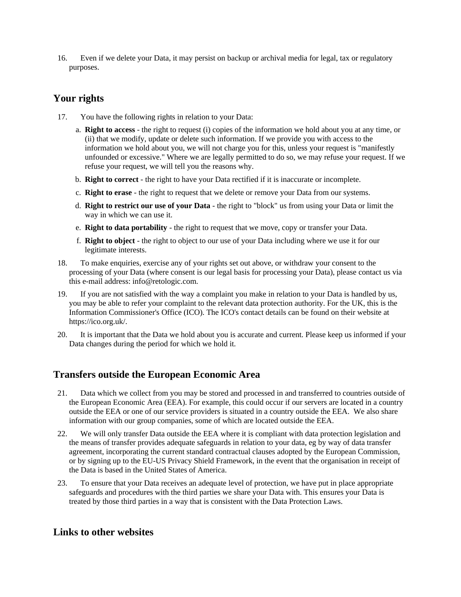16. Even if we delete your Data, it may persist on backup or archival media for legal, tax or regulatory purposes.

# **Your rights**

- 17. You have the following rights in relation to your Data:
	- a. **Right to access** the right to request (i) copies of the information we hold about you at any time, or (ii) that we modify, update or delete such information. If we provide you with access to the information we hold about you, we will not charge you for this, unless your request is "manifestly unfounded or excessive." Where we are legally permitted to do so, we may refuse your request. If we refuse your request, we will tell you the reasons why.
	- b. **Right to correct** the right to have your Data rectified if it is inaccurate or incomplete.
	- c. **Right to erase** the right to request that we delete or remove your Data from our systems.
	- d. **Right to restrict our use of your Data** the right to "block" us from using your Data or limit the way in which we can use it.
	- e. **Right to data portability** the right to request that we move, copy or transfer your Data.
	- f. **Right to object** the right to object to our use of your Data including where we use it for our legitimate interests.
- 18. To make enquiries, exercise any of your rights set out above, or withdraw your consent to the processing of your Data (where consent is our legal basis for processing your Data), please contact us via this e-mail address: info@retologic.com.
- 19. If you are not satisfied with the way a complaint you make in relation to your Data is handled by us, you may be able to refer your complaint to the relevant data protection authority. For the UK, this is the Information Commissioner's Office (ICO). The ICO's contact details can be found on their website at https://ico.org.uk/.
- 20. It is important that the Data we hold about you is accurate and current. Please keep us informed if your Data changes during the period for which we hold it.

## **Transfers outside the European Economic Area**

- 21. Data which we collect from you may be stored and processed in and transferred to countries outside of the European Economic Area (EEA). For example, this could occur if our servers are located in a country outside the EEA or one of our service providers is situated in a country outside the EEA. We also share information with our group companies, some of which are located outside the EEA.
- 22. We will only transfer Data outside the EEA where it is compliant with data protection legislation and the means of transfer provides adequate safeguards in relation to your data, eg by way of data transfer agreement, incorporating the current standard contractual clauses adopted by the European Commission, or by signing up to the EU-US Privacy Shield Framework, in the event that the organisation in receipt of the Data is based in the United States of America.
- 23. To ensure that your Data receives an adequate level of protection, we have put in place appropriate safeguards and procedures with the third parties we share your Data with. This ensures your Data is treated by those third parties in a way that is consistent with the Data Protection Laws.

## **Links to other websites**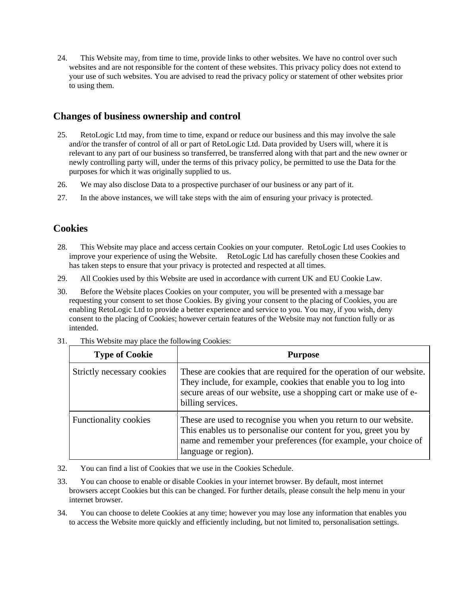24. This Website may, from time to time, provide links to other websites. We have no control over such websites and are not responsible for the content of these websites. This privacy policy does not extend to your use of such websites. You are advised to read the privacy policy or statement of other websites prior to using them.

## **Changes of business ownership and control**

- 25. RetoLogic Ltd may, from time to time, expand or reduce our business and this may involve the sale and/or the transfer of control of all or part of RetoLogic Ltd. Data provided by Users will, where it is relevant to any part of our business so transferred, be transferred along with that part and the new owner or newly controlling party will, under the terms of this privacy policy, be permitted to use the Data for the purposes for which it was originally supplied to us.
- 26. We may also disclose Data to a prospective purchaser of our business or any part of it.
- 27. In the above instances, we will take steps with the aim of ensuring your privacy is protected.

## **Cookies**

- 28. This Website may place and access certain Cookies on your computer. RetoLogic Ltd uses Cookies to improve your experience of using the Website. RetoLogic Ltd has carefully chosen these Cookies and has taken steps to ensure that your privacy is protected and respected at all times.
- 29. All Cookies used by this Website are used in accordance with current UK and EU Cookie Law.
- 30. Before the Website places Cookies on your computer, you will be presented with a message bar requesting your consent to set those Cookies. By giving your consent to the placing of Cookies, you are enabling RetoLogic Ltd to provide a better experience and service to you. You may, if you wish, deny consent to the placing of Cookies; however certain features of the Website may not function fully or as intended.

| <b>Type of Cookie</b>      | <b>Purpose</b>                                                                                                                                                                                                                     |
|----------------------------|------------------------------------------------------------------------------------------------------------------------------------------------------------------------------------------------------------------------------------|
| Strictly necessary cookies | These are cookies that are required for the operation of our website.<br>They include, for example, cookies that enable you to log into<br>secure areas of our website, use a shopping cart or make use of e-<br>billing services. |
| Functionality cookies      | These are used to recognise you when you return to our website.<br>This enables us to personalise our content for you, greet you by<br>name and remember your preferences (for example, your choice of<br>language or region).     |

31. This Website may place the following Cookies:

- 32. You can find a list of Cookies that we use in the Cookies Schedule.
- 33. You can choose to enable or disable Cookies in your internet browser. By default, most internet browsers accept Cookies but this can be changed. For further details, please consult the help menu in your internet browser.
- 34. You can choose to delete Cookies at any time; however you may lose any information that enables you to access the Website more quickly and efficiently including, but not limited to, personalisation settings.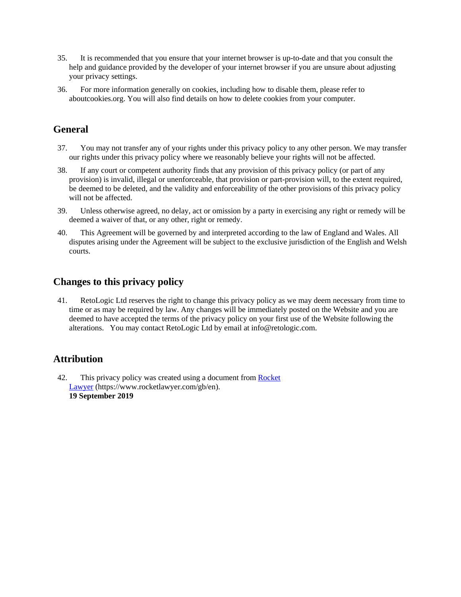- 35. It is recommended that you ensure that your internet browser is up-to-date and that you consult the help and guidance provided by the developer of your internet browser if you are unsure about adjusting your privacy settings.
- 36. For more information generally on cookies, including how to disable them, please refer to aboutcookies.org. You will also find details on how to delete cookies from your computer.

# **General**

- 37. You may not transfer any of your rights under this privacy policy to any other person. We may transfer our rights under this privacy policy where we reasonably believe your rights will not be affected.
- 38. If any court or competent authority finds that any provision of this privacy policy (or part of any provision) is invalid, illegal or unenforceable, that provision or part-provision will, to the extent required, be deemed to be deleted, and the validity and enforceability of the other provisions of this privacy policy will not be affected.
- 39. Unless otherwise agreed, no delay, act or omission by a party in exercising any right or remedy will be deemed a waiver of that, or any other, right or remedy.
- 40. This Agreement will be governed by and interpreted according to the law of England and Wales. All disputes arising under the Agreement will be subject to the exclusive jurisdiction of the English and Welsh courts.

# **Changes to this privacy policy**

41. RetoLogic Ltd reserves the right to change this privacy policy as we may deem necessary from time to time or as may be required by law. Any changes will be immediately posted on the Website and you are deemed to have accepted the terms of the privacy policy on your first use of the Website following the alterations. You may contact RetoLogic Ltd by email at info@retologic.com.

# **Attribution**

42. This privacy policy was created using a document from [Rocket](https://www.rocketlawyer.com/gb/en/)  [Lawyer](https://www.rocketlawyer.com/gb/en/) (https://www.rocketlawyer.com/gb/en). **19 September 2019**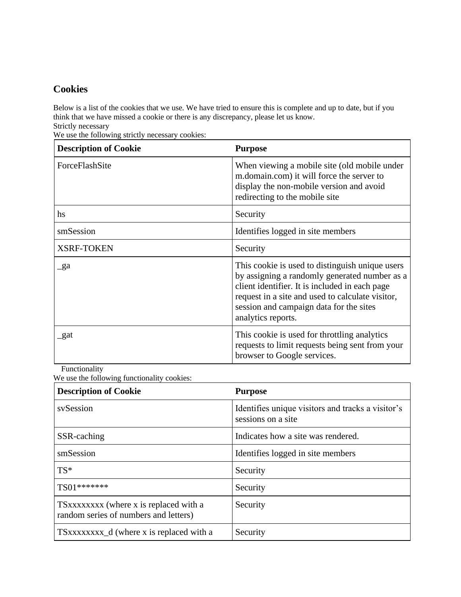# **Cookies**

Below is a list of the cookies that we use. We have tried to ensure this is complete and up to date, but if you think that we have missed a cookie or there is any discrepancy, please let us know. Strictly necessary

We use the following strictly necessary cookies:

| <b>Description of Cookie</b> | <b>Purpose</b>                                                                                                                                                                                                                                                          |
|------------------------------|-------------------------------------------------------------------------------------------------------------------------------------------------------------------------------------------------------------------------------------------------------------------------|
| ForceFlashSite               | When viewing a mobile site (old mobile under<br>m.domain.com) it will force the server to<br>display the non-mobile version and avoid<br>redirecting to the mobile site                                                                                                 |
| hs                           | Security                                                                                                                                                                                                                                                                |
| smSession                    | Identifies logged in site members                                                                                                                                                                                                                                       |
| <b>XSRF-TOKEN</b>            | Security                                                                                                                                                                                                                                                                |
| $\mathbf{g}$ a               | This cookie is used to distinguish unique users<br>by assigning a randomly generated number as a<br>client identifier. It is included in each page<br>request in a site and used to calculate visitor,<br>session and campaign data for the sites<br>analytics reports. |
| _gat                         | This cookie is used for throttling analytics<br>requests to limit requests being sent from your<br>browser to Google services.                                                                                                                                          |

Functionality

We use the following functionality cookies:

| <b>Description of Cookie</b>                                                    | <b>Purpose</b>                                                          |
|---------------------------------------------------------------------------------|-------------------------------------------------------------------------|
| sySession                                                                       | Identifies unique visitors and tracks a visitor's<br>sessions on a site |
| SSR-caching                                                                     | Indicates how a site was rendered.                                      |
| smSession                                                                       | Identifies logged in site members                                       |
| $TS^*$                                                                          | Security                                                                |
| $TS01*******$                                                                   | Security                                                                |
| TSXXXXXXXX (where x is replaced with a<br>random series of numbers and letters) | Security                                                                |
| TSxxxxxxxx_d (where x is replaced with a                                        | Security                                                                |